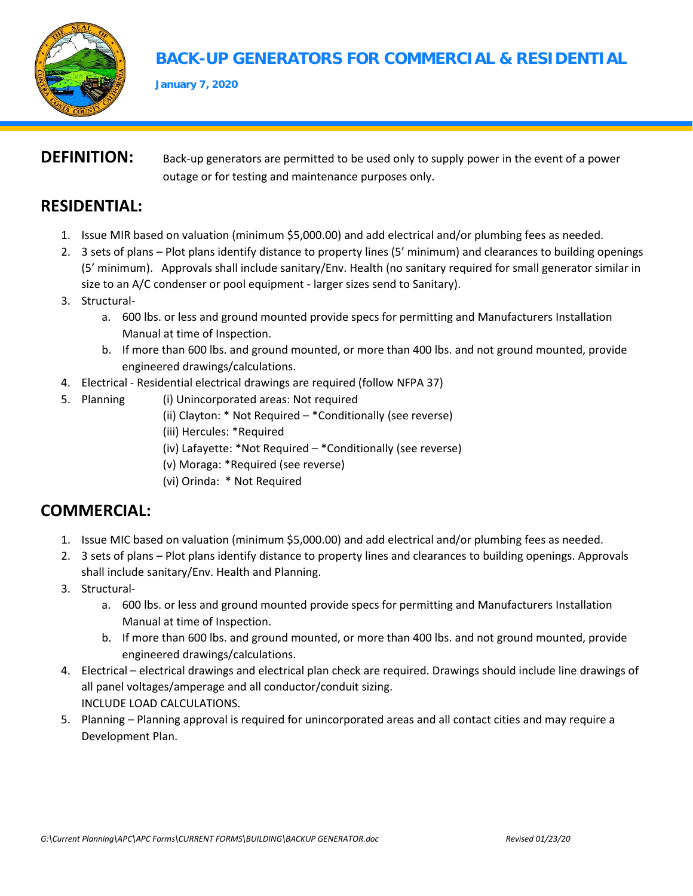

# **BACK-UP GENERATORS FOR COMMERCIAL & RESIDENTIAL**

**January 7, 2020**

#### **DEFINITION:** Back-up generators are permitted to be used only to supply power in the event of a power outage or for testing and maintenance purposes only.

## **RESIDENTIAL:**

- 1. Issue MIR based on valuation (minimum \$5,000.00) and add electrical and/or plumbing fees as needed.
- 2. 3 sets of plans Plot plans identify distance to property lines (5' minimum) and clearances to building openings (5' minimum). Approvals shall include sanitary/Env. Health (no sanitary required for small generator similar in size to an A/C condenser or pool equipment - larger sizes send to Sanitary).
- 3. Structural
	- a. 600 lbs. or less and ground mounted provide specs for permitting and Manufacturers Installation Manual at time of Inspection.
	- b. If more than 600 lbs. and ground mounted, or more than 400 lbs. and not ground mounted, provide engineered drawings/calculations.
- 4. Electrical Residential electrical drawings are required (follow NFPA 37)
- 5. Planning (i) Unincorporated areas: Not required
	- (ii) Clayton: \* Not Required \*Conditionally (see reverse)
	- (iii) Hercules: \*Required
	- (iv) Lafayette: \*Not Required \*Conditionally (see reverse)
	- (v) Moraga: \*Required (see reverse)
	- (vi) Orinda: \* Not Required

### **COMMERCIAL:**

- 1. Issue MIC based on valuation (minimum \$5,000.00) and add electrical and/or plumbing fees as needed.
- 2. 3 sets of plans Plot plans identify distance to property lines and clearances to building openings. Approvals shall include sanitary/Env. Health and Planning.
- 3. Structural
	- a. 600 lbs. or less and ground mounted provide specs for permitting and Manufacturers Installation Manual at time of Inspection.
	- b. If more than 600 lbs. and ground mounted, or more than 400 lbs. and not ground mounted, provide engineered drawings/calculations.
- 4. Electrical electrical drawings and electrical plan check are required. Drawings should include line drawings of all panel voltages/amperage and all conductor/conduit sizing. INCLUDE LOAD CALCULATIONS.
- 5. Planning Planning approval is required for unincorporated areas and all contact cities and may require a Development Plan.